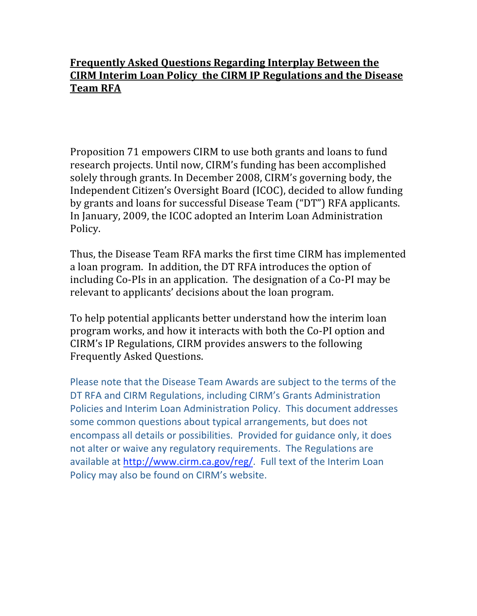### **Frequently
Asked
Questions
Regarding
Interplay
Between
the CIRM
Interim
Loan
Policy

the
CIRM
IP
Regulations
and
the
Disease Team
RFA**

Proposition
71
empowers
CIRM
to
use
both
grants
and
loans
to
fund research
projects.
Until
now,
CIRM's
funding
has
been
accomplished solely
through
grants.
In
December
2008,
CIRM's
governing
body,
the Independent
Citizen's
Oversight
Board
(ICOC),
decided
to
allow
funding by
grants
and
loans
for
successful
Disease
Team
("DT")
RFA
applicants. In
January,
2009,
the
ICOC
adopted
an
Interim
Loan
Administration Policy.

Thus,
the
Disease
Team
RFA
marks
the
first
time
CIRM
has
implemented a loan program. In addition, the DT RFA introduces the option of including Co-PIs in an application. The designation of a Co-PI may be relevant
to
applicants'
decisions
about
the
loan
program.

To
help
potential
applicants
better
understand
how
the
interim
loan program
works,
and
how
it
interacts
with
both
the
Co‐PI
option
and CIRM's
IP
Regulations,
CIRM
provides
answers
to
the
following Frequently
Asked
Questions.

Please note that the Disease Team Awards are subject to the terms of the DT RFA and CIRM Regulations, including CIRM's Grants Administration Policies and Interim Loan Administration Policy. This document addresses some
common
questions
about
typical
arrangements,
but
does
not encompass
all
details
or
possibilities. Provided
for
guidance
only,
it
does not alter or waive any regulatory requirements. The Regulations are available
at
http://www.cirm.ca.gov/reg/.

Full
text
of
the
Interim
Loan Policy may also be found on CIRM's website.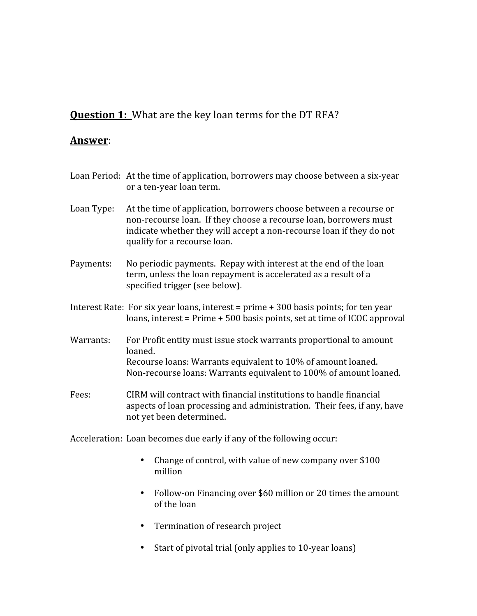# **Question 1:** What are the key loan terms for the DT RFA?

#### **Answer**:

|            | Loan Period: At the time of application, borrowers may choose between a six-year<br>or a ten-year loan term.                                                                                                                                    |
|------------|-------------------------------------------------------------------------------------------------------------------------------------------------------------------------------------------------------------------------------------------------|
| Loan Type: | At the time of application, borrowers choose between a recourse or<br>non-recourse loan. If they choose a recourse loan, borrowers must<br>indicate whether they will accept a non-recourse loan if they do not<br>qualify for a recourse loan. |
| Payments:  | No periodic payments. Repay with interest at the end of the loan<br>term, unless the loan repayment is accelerated as a result of a<br>specified trigger (see below).                                                                           |
|            | Interest Rate: For six year loans, interest = $prime + 300$ basis points; for ten year<br>loans, interest = $Prime + 500$ basis points, set at time of ICOC approval                                                                            |
| Warrants:  | For Profit entity must issue stock warrants proportional to amount<br>loaned.<br>Recourse loans: Warrants equivalent to 10% of amount loaned.<br>Non-recourse loans: Warrants equivalent to 100% of amount loaned.                              |
| Fees:      | CIRM will contract with financial institutions to handle financial<br>aspects of loan processing and administration. Their fees, if any, have<br>not yet been determined.                                                                       |
|            | Acceleration: Loan becomes due early if any of the following occur:                                                                                                                                                                             |

- Change of control, with value of new company over \$100 million
- Follow-on Financing over \$60 million or 20 times the amount of
the
loan
- Termination of research project
- Start of pivotal trial (only applies to 10-year loans)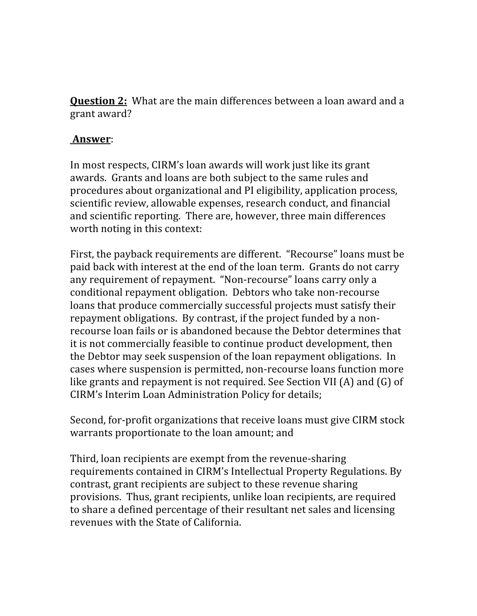**Question 2:** What are the main differences between a loan award and a grant
award?

### **Answer**:

In
most
respects,
CIRM's
loan
awards
will
work
just
like
its
grant awards.

Grants
and
loans
are
both
subject
to
the
same
rules
and procedures
about
organizational
and
PI
eligibility,
application
process, scientific
review,
allowable
expenses,
research
conduct,
and
financial and
scientific
reporting.

There
are,
however,
three
main
differences worth noting in this context:

First,
the
payback
requirements
are
different.

"Recourse"
loans
must
be paid
back
with
interest
at
the
end
of
the
loan
term.

Grants
do
not
carry any
requirement
of
repayment.

"Non‐recourse"
loans
carry
only
a conditional
repayment
obligation.

Debtors
who
take
non‐recourse loans
that
produce
commercially
successful
projects
must
satisfy
their repayment
obligations.

By
contrast,
if
the
project
funded
by
a
non‐ recourse loan fails or is abandoned because the Debtor determines that it
is
not
commercially
feasible
to
continue
product
development,
then the
Debtor
may
seek
suspension
of
the
loan
repayment
obligations.

In cases
where
suspension
is
permitted,
non‐recourse
loans
function
more like grants and repayment is not required. See Section VII (A) and (G) of CIRM's
Interim
Loan
Administration
Policy
for
details;

Second, for-profit organizations that receive loans must give CIRM stock warrants proportionate to the loan amount; and

Third,
loan
recipients
are
exempt
from
the
revenue‐sharing requirements
contained
in
CIRM's
Intellectual
Property
Regulations.
By contrast,
grant
recipients
are
subject
to
these
revenue
sharing provisions.

Thus,
grant
recipients,
unlike
loan
recipients,
are
required to
share
a
defined
percentage
of
their
resultant
net
sales
and
licensing revenues
with
the
State
of
California.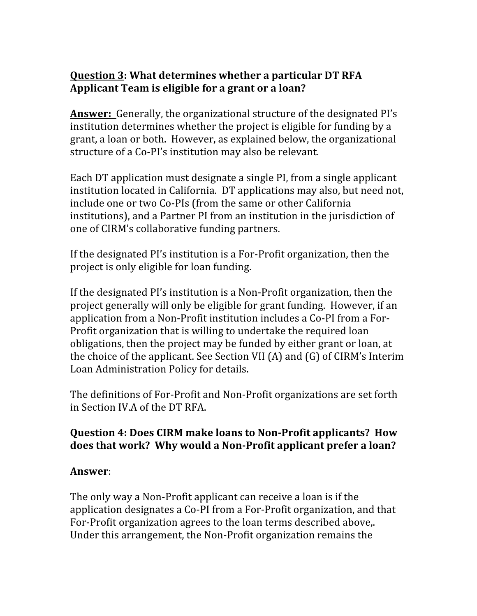## **Question
3:
What
determines
whether
a
particular
DT
RFA Applicant
Team
is
eligible
for
a
grant
or
a
loan?**

**Answer:** Generally, the organizational structure of the designated PI's institution
determines whether
the
project
is
eligible
for
funding
by
a grant,
a
loan
or
both.

However,
as
explained
below,
the
organizational structure
of
a
Co‐PI's
institution
may
also
be
relevant.

Each
DT
application
must
designate
a
single
PI,
from
a
single
applicant institution located in California. DT applications may also, but need not, include
one
or
two
Co‐PIs
(from
the
same
or
other
California institutions),
and
a
Partner
PI
from
an
institution
in
the
jurisdiction
of one
of
CIRM's
collaborative
funding
partners.

If the designated PI's institution is a For-Profit organization, then the project
is
only
eligible
for
loan
funding.

If the designated PI's institution is a Non-Profit organization, then the project
generally
will
only
be
eligible
for
grant
funding.

However,
if
an application from a Non-Profit institution includes a Co-PI from a For-Profit organization that is willing to undertake the required loan obligations,
then
the
project
may
be
funded
by
either
grant
or
loan,
at the
choice
of
the
applicant.
See
Section
VII
(A)
and
(G)
of
CIRM's
Interim Loan
Administration
Policy
for
details.

The
definitions
of
For‐Profit
and
Non‐Profit
organizations
are
set
forth in
Section
IV.A
of
the
DT
RFA.

### Question 4: Does CIRM make loans to Non-Profit applicants? How does that work? Why would a Non-Profit applicant prefer a loan?

#### **Answer**:

The
only
way
a
Non‐Profit
applicant
can
receive
a
loan
is
if
the application
designates
a
Co‐PI
from
a
For‐Profit
organization,
and
that For-Profit organization agrees to the loan terms described above.. Under this arrangement, the Non-Profit organization remains the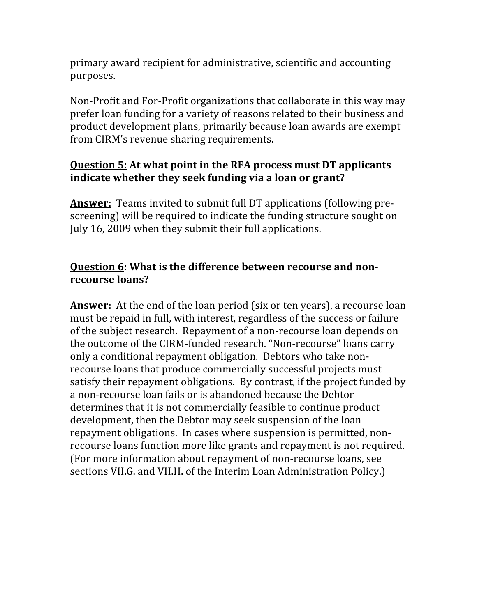primary
award
recipient
for
administrative,
scientific
and
accounting purposes.

Non-Profit and For-Profit organizations that collaborate in this way may prefer
loan
funding
for
a
variety
of
reasons
related
to
their
business
and product
development
plans,
primarily
because
loan
awards
are
exempt from
CIRM's
revenue
sharing
requirements.

# **Question
5:
At
what
point
in
the
RFA
process
must
DT
applicants**  indicate whether they seek funding via a loan or grant?

**Answer:** Teams invited to submit full DT applications (following prescreening) will be required to indicate the funding structure sought on July 16, 2009 when they submit their full applications.

# **Question 6: What is the difference between recourse and nonrecourse
loans?**

**Answer:** At the end of the loan period (six or ten years), a recourse loan must be repaid in full, with interest, regardless of the success or failure of
the
subject
research.

Repayment
of
a
non‐recourse
loan
depends
on the
outcome
of
the
CIRM‐funded
research.
"Non‐recourse"
loans
carry only
a
conditional
repayment
obligation.

Debtors
who
take
non‐ recourse loans that produce commercially successful projects must satisfy their repayment obligations. By contrast, if the project funded by a non-recourse loan fails or is abandoned because the Debtor determines that it is not commercially feasible to continue product development, then the Debtor may seek suspension of the loan repayment
obligations.

In
cases
where
suspension
is
permitted,
non‐ recourse loans function more like grants and repayment is not required. (For
more
information
about
repayment
of
non‐recourse
loans,
see sections VII.G. and VII.H. of the Interim Loan Administration Policy.)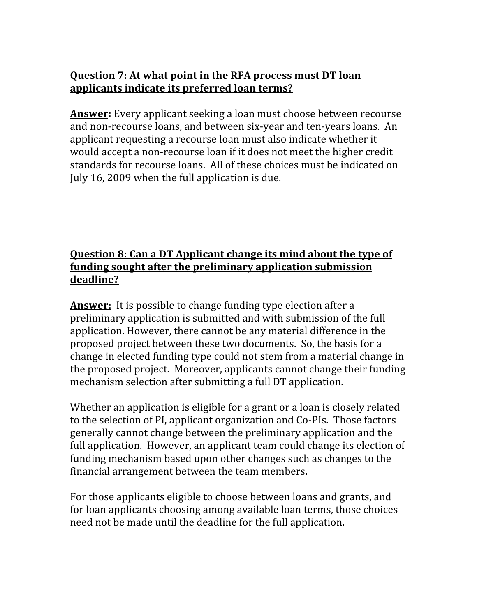# **Question 7: At what point in the RFA process must DT loan applicants
indicate
its
preferred
loan
terms?**

**Answer:** Every applicant seeking a loan must choose between recourse and
non‐recourse
loans,
and
between
six‐year
and
ten‐years
loans.

An applicant
requesting
a
recourse
loan
must
also
indicate
whether
it would accept a non-recourse loan if it does not meet the higher credit standards
for
recourse
loans.

All
of
these
choices
must
be
indicated
on July
16,
2009
when
the
full
application
is
due.

# Question 8: Can a DT Applicant change its mind about the type of **funding
sought
after
the
preliminary
application
submission deadline?**

Answer: It is possible to change funding type election after a preliminary
application
is
submitted
and
with
submission
of
the
full application.
However,
there
cannot
be
any
material
difference
in
the proposed
project
between
these
two
documents.

So,
the
basis
for
a change
in
elected
funding
type
could
not
stem
from
a
material
change
in the
proposed
project.

Moreover,
applicants
cannot
change
their
funding mechanism
selection
after
submitting
a
full
DT
application.

Whether an application is eligible for a grant or a loan is closely related to
the
selection
of
PI,
applicant
organization
and
Co‐PIs.

Those
factors generally
cannot
change
between
the
preliminary
application
and
the full application. However, an applicant team could change its election of funding
mechanism
based
upon
other
changes
such
as
changes
to
the financial
arrangement
between
the
team
members.

For those applicants eligible to choose between loans and grants, and for
loan
applicants
choosing
among
available
loan
terms,
those
choices need
not
be
made
until
the
deadline
for
the
full
application.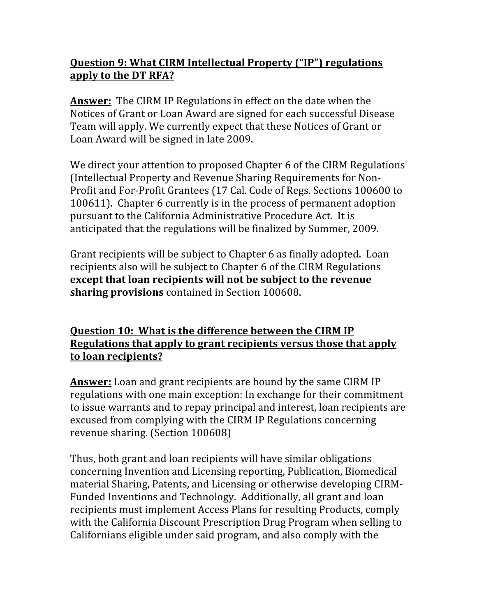# **Question
9:
What
CIRM
Intellectual
Property
("IP")
regulations apply
to
the
DT
RFA?**

Answer: The CIRM IP Regulations in effect on the date when the Notices
of
Grant
or
Loan
Award
are
signed
for
each
successful
Disease Team
will
apply.
We
currently
expect
that
these
Notices
of
Grant
or Loan
Award
will
be
signed
in
late
2009.

We direct your attention to proposed Chapter 6 of the CIRM Regulations (Intellectual
Property
and
Revenue
Sharing
Requirements
for
Non‐ Profit
and
For‐Profit
Grantees
(17
Cal.
Code
of
Regs.
Sections
100600
to 100611).

Chapter
6
currently
is
in
the
process
of
permanent
adoption pursuant
to
the
California
Administrative
Procedure
Act.

It
is anticipated
that
the
regulations
will
be
finalized
by
Summer,
2009.

Grant
recipients
will
be
subject
to
Chapter
6
as
finally
adopted.

Loan recipients
also
will
be
subject
to
Chapter
6
of
the
CIRM
Regulations **except that
loan
recipients
will
not
be
subject
to
the
revenue sharing
provisions**contained
in
Section
100608.

**Question 10: What is the difference between the CIRM IP Regulations
that
apply
to
grant
recipients
versus
those
that
apply to
loan
recipients?**

**Answer:** Loan and grant recipients are bound by the same CIRM IP regulations
with
one
main
exception:
In
exchange
for
their
commitment to issue warrants and to repay principal and interest, loan recipients are excused
from
complying
with
the
CIRM
IP
Regulations
concerning revenue
sharing.
(Section
100608)

Thus,
both
grant
and
loan
recipients
will
have
similar
obligations concerning
Invention
and
Licensing
reporting,
Publication,
Biomedical material
Sharing,
Patents,
and
Licensing
or
otherwise
developing
CIRM‐ Funded
Inventions
and
Technology.

Additionally,
all
grant
and
loan recipients
must
implement
Access
Plans
for
resulting
Products,
comply with the California Discount Prescription Drug Program when selling to Californians
eligible
under
said
program,
and
also
comply
with
the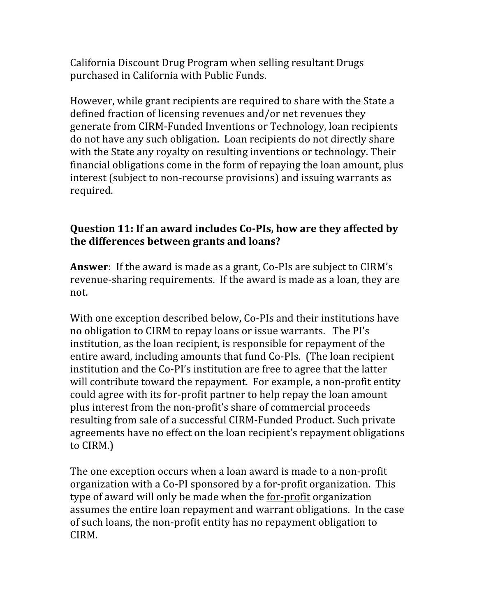California
Discount
Drug
Program
when
selling
resultant
Drugs purchased
in
California
with
Public
Funds.

However, while grant recipients are required to share with the State a defined
fraction
of
licensing
revenues
and/or
net
revenues
they generate
from
CIRM‐Funded
Inventions
or
Technology,
loan
recipients do
not
have
any
such
obligation.

Loan
recipients
do
not
directly
share with the State any royalty on resulting inventions or technology. Their financial
obligations
come
in
the
form
of
repaying
the
loan
amount,
plus interest
(subject
to
non‐recourse
provisions)
and
issuing
warrants
as required.

## Question 11: If an award includes Co-PIs, how are they affected by **the
differences
between
grants
and
loans?**

**Answer**: If the award is made as a grant, Co-PIs are subject to CIRM's revenue-sharing requirements. If the award is made as a loan, they are not.

With one exception described below, Co-PIs and their institutions have no
obligation
to
CIRM
to
repay
loans
or
issue
warrants.

The
PI's institution,
as
the
loan
recipient,
is
responsible
for
repayment
of
the entire
award,
including
amounts
that
fund
Co‐PIs.

(The
loan
recipient institution
and
the
Co‐PI's
institution
are
free
to
agree
that
the
latter will contribute toward the repayment. For example, a non-profit entity could
agree
with
its
for‐profit
partner
to
help
repay
the
loan
amount plus
interest
from
the
non‐profit's
share
of
commercial
proceeds resulting
from
sale
of
a
successful
CIRM‐Funded
Product.
Such
private agreements
have
no
effect
on
the
loan
recipient's
repayment
obligations to
CIRM.)

The
one
exception
occurs
when
a
loan
award
is
made
to
a
non‐profit organization with a Co-PI sponsored by a for-profit organization. This type of award will only be made when the <u>for-profit</u> organization assumes
the
entire
loan
repayment
and
warrant
obligations.

In
the
case of
such
loans,
the
non‐profit
entity
has
no
repayment
obligation
to CIRM.